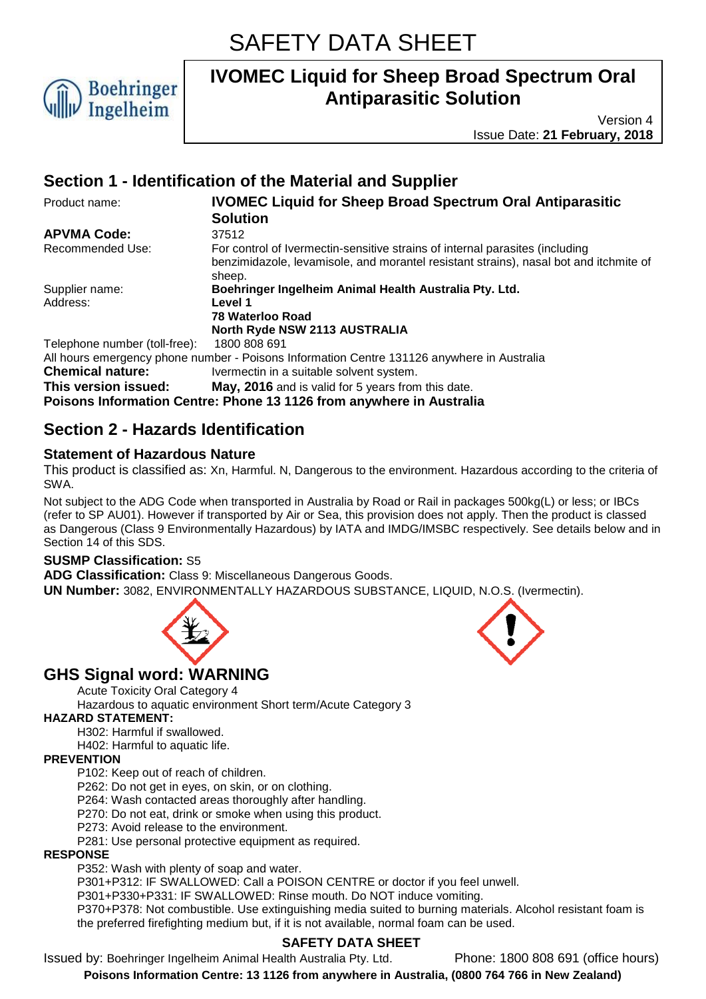

Version 4 Issue Date: **21 February, 2018**

# **Section 1 - Identification of the Material and Supplier**

| Product name:                 | <b>IVOMEC Liquid for Sheep Broad Spectrum Oral Antiparasitic</b>                                                                                                                |
|-------------------------------|---------------------------------------------------------------------------------------------------------------------------------------------------------------------------------|
|                               | <b>Solution</b>                                                                                                                                                                 |
| <b>APVMA Code:</b>            | 37512                                                                                                                                                                           |
| Recommended Use:              | For control of Ivermectin-sensitive strains of internal parasites (including<br>benzimidazole, levamisole, and morantel resistant strains), nasal bot and itchmite of<br>sheep. |
| Supplier name:                | Boehringer Ingelheim Animal Health Australia Pty. Ltd.                                                                                                                          |
| Address:                      | Level 1                                                                                                                                                                         |
|                               | 78 Waterloo Road                                                                                                                                                                |
|                               | North Ryde NSW 2113 AUSTRALIA                                                                                                                                                   |
| Telephone number (toll-free): | 1800 808 691                                                                                                                                                                    |
|                               | All hours emergency phone number - Poisons Information Centre 131126 anywhere in Australia                                                                                      |
| <b>Chemical nature:</b>       | Ivermectin in a suitable solvent system.                                                                                                                                        |
| This version issued:          | May, 2016 and is valid for 5 years from this date.                                                                                                                              |
|                               | Poisons Information Centre: Phone 13 1126 from anywhere in Australia                                                                                                            |

### **Section 2 - Hazards Identification**

### **Statement of Hazardous Nature**

This product is classified as: Xn, Harmful. N, Dangerous to the environment. Hazardous according to the criteria of SWA.

Not subject to the ADG Code when transported in Australia by Road or Rail in packages 500kg(L) or less; or IBCs (refer to SP AU01). However if transported by Air or Sea, this provision does not apply. Then the product is classed as Dangerous (Class 9 Environmentally Hazardous) by IATA and IMDG/IMSBC respectively. See details below and in Section 14 of this SDS.

### **SUSMP Classification:** S5

**ADG Classification:** Class 9: Miscellaneous Dangerous Goods.

**UN Number:** 3082, ENVIRONMENTALLY HAZARDOUS SUBSTANCE, LIQUID, N.O.S. (Ivermectin).



### **GHS Signal word: WARNING**

Acute Toxicity Oral Category 4

Hazardous to aquatic environment Short term/Acute Category 3

#### **HAZARD STATEMENT:**

H302: Harmful if swallowed.

H402: Harmful to aquatic life.

#### **PREVENTION**

P102: Keep out of reach of children.

P262: Do not get in eyes, on skin, or on clothing.

P264: Wash contacted areas thoroughly after handling.

P270: Do not eat, drink or smoke when using this product.

P273: Avoid release to the environment.

P281: Use personal protective equipment as required.

#### **RESPONSE**

P352: Wash with plenty of soap and water.

P301+P312: IF SWALLOWED: Call a POISON CENTRE or doctor if you feel unwell.

P301+P330+P331: IF SWALLOWED: Rinse mouth. Do NOT induce vomiting.

P370+P378: Not combustible. Use extinguishing media suited to burning materials. Alcohol resistant foam is the preferred firefighting medium but, if it is not available, normal foam can be used.

### **SAFETY DATA SHEET**

Issued by: Boehringer Ingelheim Animal Health Australia Pty. Ltd. Phone: 1800 808 691 (office hours)

**Poisons Information Centre: 13 1126 from anywhere in Australia, (0800 764 766 in New Zealand)**

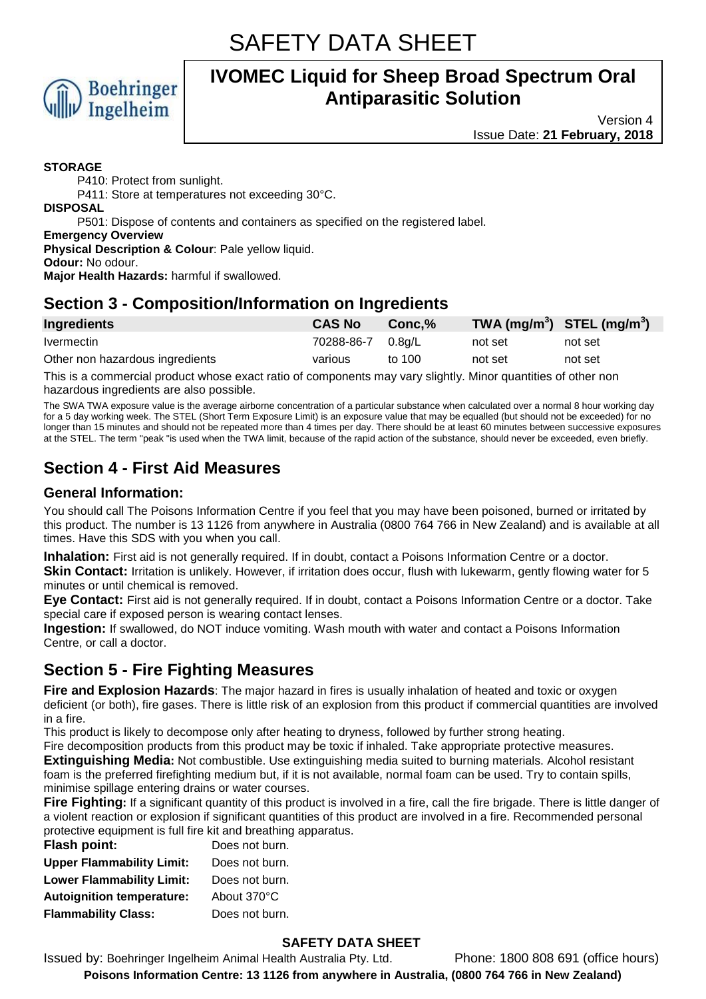

Version 4 Issue Date: **21 February, 2018**

#### **STORAGE**

P410: Protect from sunlight.

P411: Store at temperatures not exceeding 30°C.

**DISPOSAL**

P501: Dispose of contents and containers as specified on the registered label.

**Emergency Overview**

**Physical Description & Colour**: Pale yellow liquid.

**Odour:** No odour.

**Major Health Hazards:** harmful if swallowed.

# **Section 3 - Composition/Information on Ingredients**

| Ingredients                     | <b>CAS No</b>     | Conc.% | TWA $(mg/m^3)$ STEL $(mg/m^3)$ |         |
|---------------------------------|-------------------|--------|--------------------------------|---------|
| <i>Ivermectin</i>               | 70288-86-7 0.8a/L |        | not set                        | not set |
| Other non hazardous ingredients | various           | to 100 | not set                        | not set |

This is a commercial product whose exact ratio of components may vary slightly. Minor quantities of other non hazardous ingredients are also possible.

The SWA TWA exposure value is the average airborne concentration of a particular substance when calculated over a normal 8 hour working day for a 5 day working week. The STEL (Short Term Exposure Limit) is an exposure value that may be equalled (but should not be exceeded) for no longer than 15 minutes and should not be repeated more than 4 times per day. There should be at least 60 minutes between successive exposures at the STEL. The term "peak "is used when the TWA limit, because of the rapid action of the substance, should never be exceeded, even briefly.

# **Section 4 - First Aid Measures**

### **General Information:**

You should call The Poisons Information Centre if you feel that you may have been poisoned, burned or irritated by this product. The number is 13 1126 from anywhere in Australia (0800 764 766 in New Zealand) and is available at all times. Have this SDS with you when you call.

**Inhalation:** First aid is not generally required. If in doubt, contact a Poisons Information Centre or a doctor. **Skin Contact:** Irritation is unlikely. However, if irritation does occur, flush with lukewarm, gently flowing water for 5 minutes or until chemical is removed.

**Eye Contact:** First aid is not generally required. If in doubt, contact a Poisons Information Centre or a doctor. Take special care if exposed person is wearing contact lenses.

**Ingestion:** If swallowed, do NOT induce vomiting. Wash mouth with water and contact a Poisons Information Centre, or call a doctor.

# **Section 5 - Fire Fighting Measures**

**Fire and Explosion Hazards**: The major hazard in fires is usually inhalation of heated and toxic or oxygen deficient (or both), fire gases. There is little risk of an explosion from this product if commercial quantities are involved in a fire.

This product is likely to decompose only after heating to dryness, followed by further strong heating.

Fire decomposition products from this product may be toxic if inhaled. Take appropriate protective measures. **Extinguishing Media:** Not combustible. Use extinguishing media suited to burning materials. Alcohol resistant foam is the preferred firefighting medium but, if it is not available, normal foam can be used. Try to contain spills, minimise spillage entering drains or water courses.

**Fire Fighting:** If a significant quantity of this product is involved in a fire, call the fire brigade. There is little danger of a violent reaction or explosion if significant quantities of this product are involved in a fire. Recommended personal protective equipment is full fire kit and breathing apparatus.

| Flash point:                     | Does not burn. |
|----------------------------------|----------------|
| <b>Upper Flammability Limit:</b> | Does not burn. |
| <b>Lower Flammability Limit:</b> | Does not burn. |
| <b>Autoignition temperature:</b> | About 370°C    |
| <b>Flammability Class:</b>       | Does not burn. |

### **SAFETY DATA SHEET**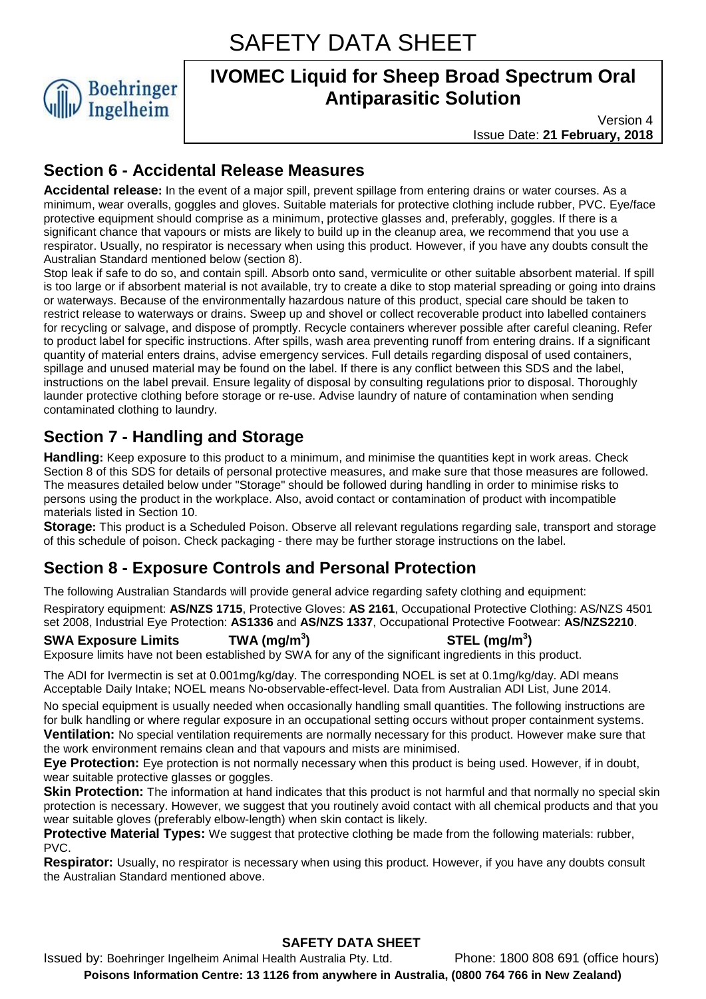SAFETY DATA SHEET



# **IVOMEC Liquid for Sheep Broad Spectrum Oral Antiparasitic Solution**

Version 4 Issue Date: **21 February, 2018**

# **Section 6 - Accidental Release Measures**

**Accidental release:** In the event of a major spill, prevent spillage from entering drains or water courses. As a minimum, wear overalls, goggles and gloves. Suitable materials for protective clothing include rubber, PVC. Eye/face protective equipment should comprise as a minimum, protective glasses and, preferably, goggles. If there is a significant chance that vapours or mists are likely to build up in the cleanup area, we recommend that you use a respirator. Usually, no respirator is necessary when using this product. However, if you have any doubts consult the Australian Standard mentioned below (section 8).

Stop leak if safe to do so, and contain spill. Absorb onto sand, vermiculite or other suitable absorbent material. If spill is too large or if absorbent material is not available, try to create a dike to stop material spreading or going into drains or waterways. Because of the environmentally hazardous nature of this product, special care should be taken to restrict release to waterways or drains. Sweep up and shovel or collect recoverable product into labelled containers for recycling or salvage, and dispose of promptly. Recycle containers wherever possible after careful cleaning. Refer to product label for specific instructions. After spills, wash area preventing runoff from entering drains. If a significant quantity of material enters drains, advise emergency services. Full details regarding disposal of used containers, spillage and unused material may be found on the label. If there is any conflict between this SDS and the label, instructions on the label prevail. Ensure legality of disposal by consulting regulations prior to disposal. Thoroughly launder protective clothing before storage or re-use. Advise laundry of nature of contamination when sending contaminated clothing to laundry.

# **Section 7 - Handling and Storage**

**Handling:** Keep exposure to this product to a minimum, and minimise the quantities kept in work areas. Check Section 8 of this SDS for details of personal protective measures, and make sure that those measures are followed. The measures detailed below under "Storage" should be followed during handling in order to minimise risks to persons using the product in the workplace. Also, avoid contact or contamination of product with incompatible materials listed in Section 10.

**Storage:** This product is a Scheduled Poison. Observe all relevant regulations regarding sale, transport and storage of this schedule of poison. Check packaging - there may be further storage instructions on the label.

# **Section 8 - Exposure Controls and Personal Protection**

The following Australian Standards will provide general advice regarding safety clothing and equipment:

Respiratory equipment: **AS/NZS 1715**, Protective Gloves: **AS 2161**, Occupational Protective Clothing: AS/NZS 4501 set 2008, Industrial Eye Protection: **AS1336** and **AS/NZS 1337**, Occupational Protective Footwear: **AS/NZS2210**.

### **SWA Exposure Limits TWA (mg/m<sup>3</sup>**

**) STEL (mg/m<sup>3</sup> )**

Exposure limits have not been established by SWA for any of the significant ingredients in this product.

The ADI for Ivermectin is set at 0.001mg/kg/day. The corresponding NOEL is set at 0.1mg/kg/day. ADI means Acceptable Daily Intake; NOEL means No-observable-effect-level. Data from Australian ADI List, June 2014.

No special equipment is usually needed when occasionally handling small quantities. The following instructions are for bulk handling or where regular exposure in an occupational setting occurs without proper containment systems. **Ventilation:** No special ventilation requirements are normally necessary for this product. However make sure that the work environment remains clean and that vapours and mists are minimised.

**Eye Protection:** Eye protection is not normally necessary when this product is being used. However, if in doubt, wear suitable protective glasses or goggles.

**Skin Protection:** The information at hand indicates that this product is not harmful and that normally no special skin protection is necessary. However, we suggest that you routinely avoid contact with all chemical products and that you wear suitable gloves (preferably elbow-length) when skin contact is likely.

**Protective Material Types:** We suggest that protective clothing be made from the following materials: rubber, PVC.

**Respirator:** Usually, no respirator is necessary when using this product. However, if you have any doubts consult the Australian Standard mentioned above.

### **SAFETY DATA SHEET**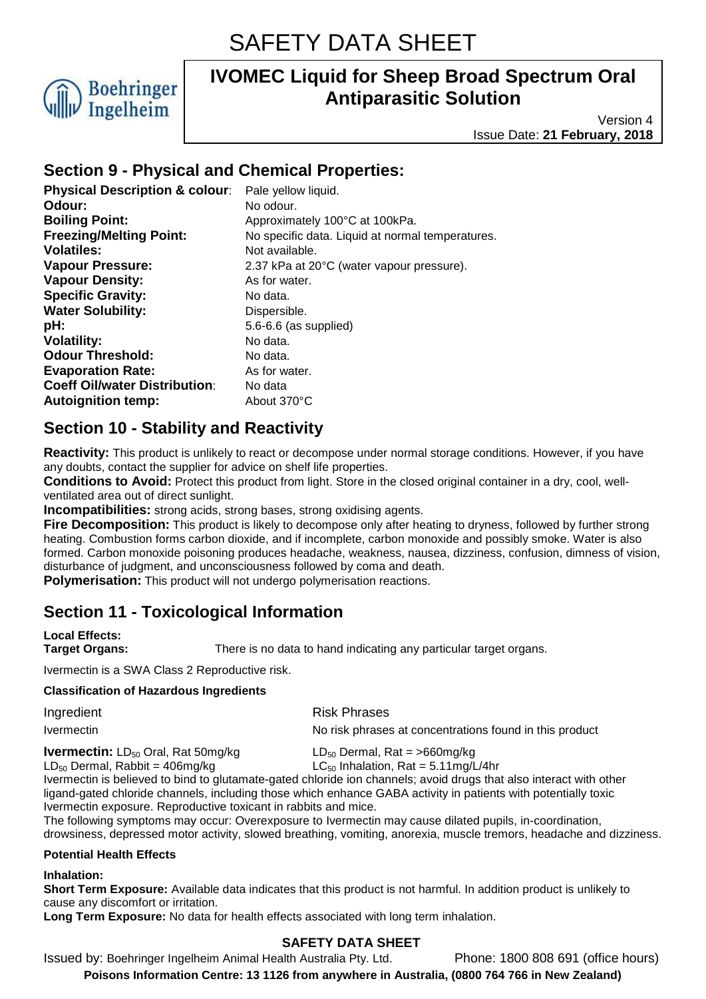

Version 4 Issue Date: **21 February, 2018**

### **Section 9 - Physical and Chemical Properties:**

| Pale yellow liquid.                              |
|--------------------------------------------------|
| No odour.                                        |
| Approximately 100°C at 100kPa.                   |
| No specific data. Liquid at normal temperatures. |
| Not available.                                   |
| 2.37 kPa at 20°C (water vapour pressure).        |
| As for water.                                    |
| No data.                                         |
| Dispersible.                                     |
| 5.6-6.6 (as supplied)                            |
| No data.                                         |
| No data.                                         |
| As for water.                                    |
| No data                                          |
| About 370°C                                      |
|                                                  |

# **Section 10 - Stability and Reactivity**

**Reactivity:** This product is unlikely to react or decompose under normal storage conditions. However, if you have any doubts, contact the supplier for advice on shelf life properties.

**Conditions to Avoid:** Protect this product from light. Store in the closed original container in a dry, cool, wellventilated area out of direct sunlight.

**Incompatibilities:** strong acids, strong bases, strong oxidising agents.

**Fire Decomposition:** This product is likely to decompose only after heating to dryness, followed by further strong heating. Combustion forms carbon dioxide, and if incomplete, carbon monoxide and possibly smoke. Water is also formed. Carbon monoxide poisoning produces headache, weakness, nausea, dizziness, confusion, dimness of vision, disturbance of judgment, and unconsciousness followed by coma and death.

**Polymerisation:** This product will not undergo polymerisation reactions.

# **Section 11 - Toxicological Information**

**Local Effects:** 

**Target Organs:** There is no data to hand indicating any particular target organs.

Ivermectin is a SWA Class 2 Reproductive risk.

#### **Classification of Hazardous Ingredients**

| Ingredient | <b>Risk Phrases</b>                                     |
|------------|---------------------------------------------------------|
| Ivermectin | No risk phrases at concentrations found in this product |

**Ivermectin:** LD<sub>50</sub> Oral, Rat 50mg/kg LD<sub>50</sub> Dermal, Rat = >660mg/kg LC<sub>50</sub> Inhalation, Rat = 5.11mg/l

LC<sub>50</sub> Inhalation, Rat = 5.11mg/L/4hr Ivermectin is believed to bind to glutamate-gated chloride ion channels; avoid drugs that also interact with other ligand-gated chloride channels, including those which enhance GABA activity in patients with potentially toxic Ivermectin exposure. Reproductive toxicant in rabbits and mice.

The following symptoms may occur: Overexposure to Ivermectin may cause dilated pupils, in-coordination, drowsiness, depressed motor activity, slowed breathing, vomiting, anorexia, muscle tremors, headache and dizziness.

#### **Potential Health Effects**

#### **Inhalation:**

**Short Term Exposure:** Available data indicates that this product is not harmful. In addition product is unlikely to cause any discomfort or irritation.

**Long Term Exposure:** No data for health effects associated with long term inhalation.

### **SAFETY DATA SHEET**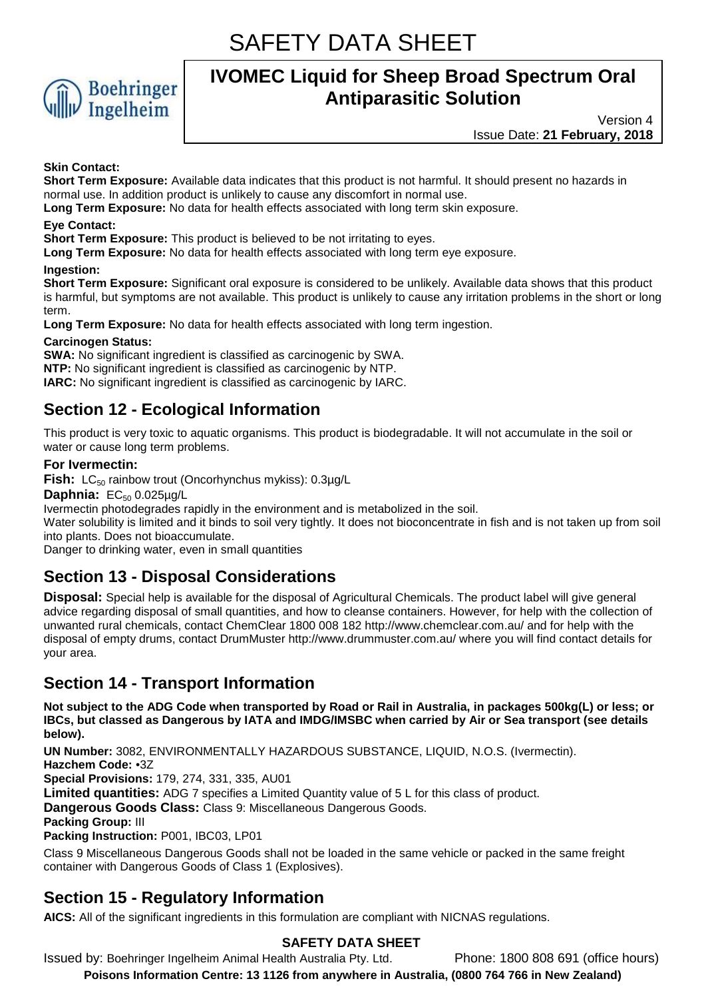SAFETY DATA SHEET



# **IVOMEC Liquid for Sheep Broad Spectrum Oral Antiparasitic Solution**

Version 4 Issue Date: **21 February, 2018**

#### **Skin Contact:**

**Short Term Exposure:** Available data indicates that this product is not harmful. It should present no hazards in normal use. In addition product is unlikely to cause any discomfort in normal use.

**Long Term Exposure:** No data for health effects associated with long term skin exposure.

#### **Eye Contact:**

**Short Term Exposure:** This product is believed to be not irritating to eyes.

**Long Term Exposure:** No data for health effects associated with long term eye exposure.

#### **Ingestion:**

**Short Term Exposure:** Significant oral exposure is considered to be unlikely. Available data shows that this product is harmful, but symptoms are not available. This product is unlikely to cause any irritation problems in the short or long term.

**Long Term Exposure:** No data for health effects associated with long term ingestion.

#### **Carcinogen Status:**

**SWA:** No significant ingredient is classified as carcinogenic by SWA. **NTP:** No significant ingredient is classified as carcinogenic by NTP. **IARC:** No significant ingredient is classified as carcinogenic by IARC.

# **Section 12 - Ecological Information**

This product is very toxic to aquatic organisms. This product is biodegradable. It will not accumulate in the soil or water or cause long term problems.

#### **For Ivermectin:**

**Fish:** LC<sub>50</sub> rainbow trout (Oncorhynchus mykiss): 0.3µg/L

**Daphnia: EC<sub>50</sub> 0.025µg/L** 

Ivermectin photodegrades rapidly in the environment and is metabolized in the soil.

Water solubility is limited and it binds to soil very tightly. It does not bioconcentrate in fish and is not taken up from soil into plants. Does not bioaccumulate.

Danger to drinking water, even in small quantities

# **Section 13 - Disposal Considerations**

**Disposal:** Special help is available for the disposal of Agricultural Chemicals. The product label will give general advice regarding disposal of small quantities, and how to cleanse containers. However, for help with the collection of unwanted rural chemicals, contact ChemClear 1800 008 182 http://www.chemclear.com.au/ and for help with the disposal of empty drums, contact DrumMuster http://www.drummuster.com.au/ where you will find contact details for your area.

### **Section 14 - Transport Information**

**Not subject to the ADG Code when transported by Road or Rail in Australia, in packages 500kg(L) or less; or IBCs, but classed as Dangerous by IATA and IMDG/IMSBC when carried by Air or Sea transport (see details below).** 

**UN Number:** 3082, ENVIRONMENTALLY HAZARDOUS SUBSTANCE, LIQUID, N.O.S. (Ivermectin).

**Hazchem Code:** •3Z

**Special Provisions:** 179, 274, 331, 335, AU01

**Limited quantities:** ADG 7 specifies a Limited Quantity value of 5 L for this class of product.

**Dangerous Goods Class:** Class 9: Miscellaneous Dangerous Goods.

**Packing Group:** III

**Packing Instruction:** P001, IBC03, LP01

Class 9 Miscellaneous Dangerous Goods shall not be loaded in the same vehicle or packed in the same freight container with Dangerous Goods of Class 1 (Explosives).

# **Section 15 - Regulatory Information**

**AICS:** All of the significant ingredients in this formulation are compliant with NICNAS regulations.

### **SAFETY DATA SHEET**